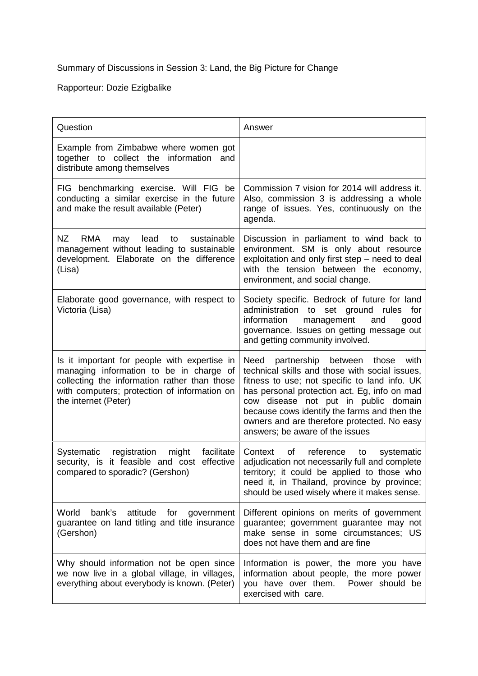## Summary of Discussions in Session 3: Land, the Big Picture for Change

Rapporteur: Dozie Ezigbalike

| Question                                                                                                                                                                                                        | Answer                                                                                                                                                                                                                                                                                                                                                              |
|-----------------------------------------------------------------------------------------------------------------------------------------------------------------------------------------------------------------|---------------------------------------------------------------------------------------------------------------------------------------------------------------------------------------------------------------------------------------------------------------------------------------------------------------------------------------------------------------------|
| Example from Zimbabwe where women got<br>together to collect the information<br>and<br>distribute among themselves                                                                                              |                                                                                                                                                                                                                                                                                                                                                                     |
| FIG benchmarking exercise. Will FIG be<br>conducting a similar exercise in the future<br>and make the result available (Peter)                                                                                  | Commission 7 vision for 2014 will address it.<br>Also, commission 3 is addressing a whole<br>range of issues. Yes, continuously on the<br>agenda.                                                                                                                                                                                                                   |
| NZ<br><b>RMA</b><br>lead<br>may<br>to<br>sustainable<br>management without leading to sustainable<br>development. Elaborate on the difference<br>(Lisa)                                                         | Discussion in parliament to wind back to<br>environment. SM is only about resource<br>exploitation and only first step - need to deal<br>with the tension between the economy,<br>environment, and social change.                                                                                                                                                   |
| Elaborate good governance, with respect to<br>Victoria (Lisa)                                                                                                                                                   | Society specific. Bedrock of future for land<br>administration to set ground rules<br>for<br>information<br>management<br>and<br>good<br>governance. Issues on getting message out<br>and getting community involved.                                                                                                                                               |
| Is it important for people with expertise in<br>managing information to be in charge of<br>collecting the information rather than those<br>with computers; protection of information on<br>the internet (Peter) | Need partnership between those<br>with<br>technical skills and those with social issues,<br>fitness to use; not specific to land info. UK<br>has personal protection act. Eg, info on mad<br>cow disease not put in public domain<br>because cows identify the farms and then the<br>owners and are therefore protected. No easy<br>answers; be aware of the issues |
| facilitate<br>Systematic registration might<br>security, is it feasible and cost effective<br>compared to sporadic? (Gershon)                                                                                   | of<br>Context<br>reference<br>to<br>systematic<br>adjudication not necessarily full and complete<br>territory; it could be applied to those who<br>need it, in Thailand, province by province;<br>should be used wisely where it makes sense.                                                                                                                       |
| World<br>bank's<br>attitude for government<br>guarantee on land titling and title insurance<br>(Gershon)                                                                                                        | Different opinions on merits of government<br>guarantee; government guarantee may not<br>make sense in some circumstances; US<br>does not have them and are fine                                                                                                                                                                                                    |
| Why should information not be open since<br>we now live in a global village, in villages,<br>everything about everybody is known. (Peter)                                                                       | Information is power, the more you have<br>information about people, the more power<br>you have over them. Power should be<br>exercised with care.                                                                                                                                                                                                                  |